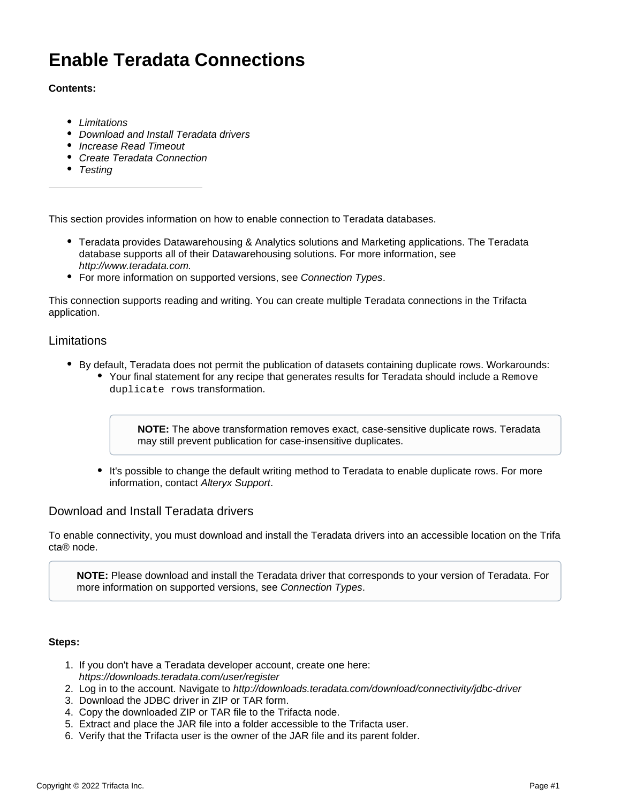# **Enable Teradata Connections**

### **Contents:**

- [Limitations](#page-0-0)
- [Download and Install Teradata drivers](#page-0-1)
- [Increase Read Timeout](#page-1-0)
- [Create Teradata Connection](#page-1-1)
- [Testing](#page-1-2)

This section provides information on how to enable connection to Teradata databases.

- Teradata provides Datawarehousing & Analytics solutions and Marketing applications. The Teradata database supports all of their Datawarehousing solutions. For more information, see <http://www.teradata.com.>
- For more information on supported versions, see [Connection Types](https://docs.trifacta.com/display/r068/Connection+Types).

This connection supports reading and writing. You can create multiple Teradata connections in the Trifacta application.

#### <span id="page-0-0"></span>Limitations

- By default, Teradata does not permit the publication of datasets containing duplicate rows. Workarounds:
	- Your final statement for any recipe that generates results for Teradata should include a Remove duplicate rows transformation.

**NOTE:** The above transformation removes exact, case-sensitive duplicate rows. Teradata may still prevent publication for case-insensitive duplicates.

It's possible to change the default writing method to Teradata to enable duplicate rows. For more information, contact [Alteryx Support](https://docs.trifacta.com/display/HOME/Contact+Support).

## <span id="page-0-1"></span>Download and Install Teradata drivers

To enable connectivity, you must download and install the Teradata drivers into an accessible location on the Trifa cta® node.

**NOTE:** Please download and install the Teradata driver that corresponds to your version of Teradata. For more information on supported versions, see [Connection Types](https://docs.trifacta.com/display/r068/Connection+Types).

#### **Steps:**

- 1. If you don't have a Teradata developer account, create one here: <https://downloads.teradata.com/user/register>
- 2. Log in to the account. Navigate to <http://downloads.teradata.com/download/connectivity/jdbc-driver>
- 3. Download the JDBC driver in ZIP or TAR form.
- 4. Copy the downloaded ZIP or TAR file to the Trifacta node.
- 5. Extract and place the JAR file into a folder accessible to the Trifacta user.
- 6. Verify that the Trifacta user is the owner of the JAR file and its parent folder.